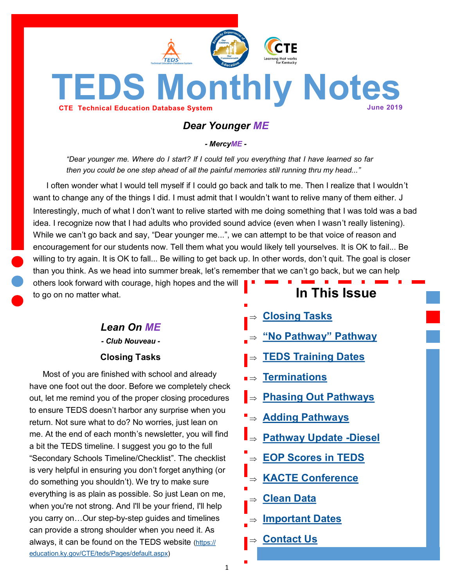

# <span id="page-0-0"></span>**TEDS Monthly Notes**

### *Dear Younger ME*

*- MercyME -*

*"Dear younger me. Where do I start? If I could tell you everything that I have learned so far then you could be one step ahead of all the painful memories still running thru my head..."*

I often wonder what I would tell myself if I could go back and talk to me. Then I realize that I wouldn't want to change any of the things I did. I must admit that I wouldn't want to relive many of them either. J Interestingly, much of what I don't want to relive started with me doing something that I was told was a bad idea. I recognize now that I had adults who provided sound advice (even when I wasn't really listening). While we can't go back and say, "Dear younger me...", we can attempt to be that voice of reason and encouragement for our students now. Tell them what you would likely tell yourselves. It is OK to fail... Be willing to try again. It is OK to fall... Be willing to get back up. In other words, don't quit. The goal is closer than you think. As we head into summer break, let's remember that we can't go back, but we can help others look forward with courage, high hopes and the will to go on no matter what. **In This Issue**

#### *Lean On ME*

*- Club Nouveau -*

#### **Closing Tasks**

Most of you are finished with school and already have one foot out the door. Before we completely check out, let me remind you of the proper closing procedures to ensure TEDS doesn't harbor any surprise when you return. Not sure what to do? No worries, just lean on me. At the end of each month's newsletter, you will find a bit the TEDS timeline. I suggest you go to the full "Secondary Schools Timeline/Checklist". The checklist is very helpful in ensuring you don't forget anything (or do something you shouldn't). We try to make sure everything is as plain as possible. So just Lean on me, when you're not strong. And I'll be your friend, I'll help you carry on…Our step-by-step guides and timelines can provide a strong shoulder when you need it. As always, it can be found on the TEDS website [\(https://](https://education.ky.gov/CTE/teds/Pages/default.aspx) [education.ky.gov/CTE/teds/Pages/default.aspx\)](https://education.ky.gov/CTE/teds/Pages/default.aspx)

- **[Closing Tasks](#page-0-0)**
- **"[No Pathway](#page-1-0)" Pathway**
- **[TEDS Training Dates](#page-1-0)**
- ■⇒ [Terminations](#page-2-0)
- **[Phasing Out Pathways](#page-2-0)**
- **[Adding Pathways](#page-3-0)**
- **[Pathway Update](#page-3-0) -Diesel**
- **[EOP Scores in TEDS](#page-3-0)**
- **[KACTE Conference](#page-4-0)**
- **[Clean Data](#page-4-0)**
- **[Important Dates](#page-5-0)**
- **[Contact Us](#page-5-0)**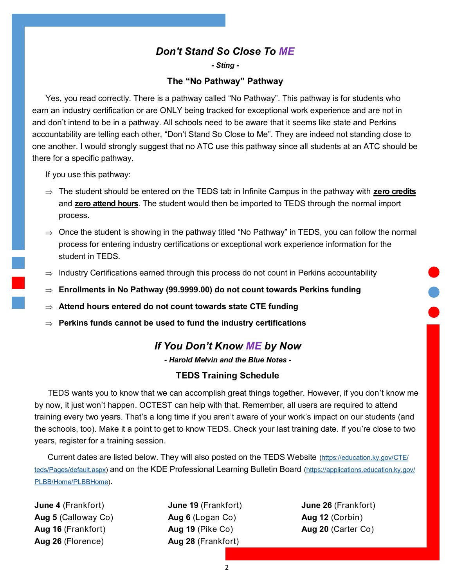#### *Don't Stand So Close To ME*

*- Sting -*

#### **The "No Pathway" Pathway**

<span id="page-1-0"></span>Yes, you read correctly. There is a pathway called "No Pathway". This pathway is for students who earn an industry certification or are ONLY being tracked for exceptional work experience and are not in and don't intend to be in a pathway. All schools need to be aware that it seems like state and Perkins accountability are telling each other, "Don't Stand So Close to Me". They are indeed not standing close to one another. I would strongly suggest that no ATC use this pathway since all students at an ATC should be there for a specific pathway.

If you use this pathway:

- The student should be entered on the TEDS tab in Infinite Campus in the pathway with **zero credits**  and **zero attend hours**. The student would then be imported to TEDS through the normal import process.
- $\Rightarrow$  Once the student is showing in the pathway titled "No Pathway" in TEDS, you can follow the normal process for entering industry certifications or exceptional work experience information for the student in TEDS.
- $\Rightarrow$  Industry Certifications earned through this process do not count in Perkins accountability
- **Enrollments in No Pathway (99.9999.00) do not count towards Perkins funding**
- **Attend hours entered do not count towards state CTE funding**
- **Perkins funds cannot be used to fund the industry certifications**

#### *If You Don't Know ME by Now*

*- Harold Melvin and the Blue Notes -*

#### **TEDS Training Schedule**

TEDS wants you to know that we can accomplish great things together. However, if you don't know me by now, it just won't happen. OCTEST can help with that. Remember, all users are required to attend training every two years. That's a long time if you aren't aware of your work's impact on our students (and the schools, too). Make it a point to get to know TEDS. Check your last training date. If you're close to two years, register for a training session.

Current dates are listed below. They will also posted on the TEDS Website [\(https://education.ky.gov/CTE/](https://education.ky.gov/CTE/teds/Pages/default.aspx) [teds/Pages/default.aspx\)](https://education.ky.gov/CTE/teds/Pages/default.aspx) and on the KDE Professional Learning Bulletin Board [\(https://applications.education.ky.gov/](https://applications.education.ky.gov/PLBB/Home/PLBBHome) [PLBB/Home/PLBBHome\)](https://applications.education.ky.gov/PLBB/Home/PLBBHome).

**Aug 5** (Calloway Co) **Aug 6** (Logan Co) **Aug 12** (Corbin) **Aug 16** (Frankfort) **Aug 19** (Pike Co) **Aug 20** (Carter Co) **Aug 26** (Florence) **Aug 28** (Frankfort)

**June 4** (Frankfort) **June 19** (Frankfort) **June 26** (Frankfort)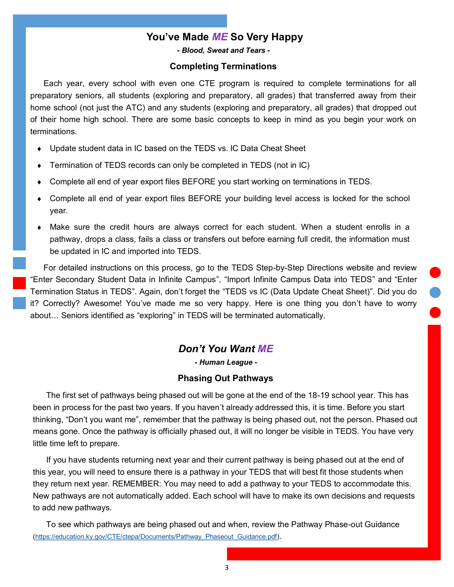#### **You've Made** *ME* **So Very Happy**

*- Blood, Sweat and Tears -*

#### **Completing Terminations**

<span id="page-2-0"></span>Each year, every school with even one CTE program is required to complete terminations for all preparatory seniors, all students (exploring and preparatory, all grades) that transferred away from their home school (not just the ATC) and any students (exploring and preparatory, all grades) that dropped out of their home high school. There are some basic concepts to keep in mind as you begin your work on terminations.

- Update student data in IC based on the TEDS vs. IC Data Cheat Sheet
- Termination of TEDS records can only be completed in TEDS (not in IC)
- Complete all end of year export files BEFORE you start working on terminations in TEDS.
- Complete all end of year export files BEFORE your building level access is locked for the school year.
- Make sure the credit hours are always correct for each student. When a student enrolls in a pathway, drops a class, fails a class or transfers out before earning full credit, the information must be updated in IC and imported into TEDS.

For detailed instructions on this process, go to the TEDS Step-by-Step Directions website and review "Enter Secondary Student Data in Infinite Campus", "Import Infinite Campus Data into TEDS" and "Enter Termination Status in TEDS". Again, don't forget the "TEDS vs IC (Data Update Cheat Sheet)". Did you do it? Correctly? Awesome! You've made me so very happy. Here is one thing you don't have to worry about… Seniors identified as "exploring" in TEDS will be terminated automatically.

#### *Don't You Want ME*

*- Human League -*

#### **Phasing Out Pathways**

The first set of pathways being phased out will be gone at the end of the 18-19 school year. This has been in process for the past two years. If you haven't already addressed this, it is time. Before you start thinking, "Don't you want me", remember that the pathway is being phased out, not the person. Phased out means gone. Once the pathway is officially phased out, it will no longer be visible in TEDS. You have very little time left to prepare.

If you have students returning next year and their current pathway is being phased out at the end of this year, you will need to ensure there is a pathway in your TEDS that will best fit those students when they return next year. REMEMBER: You may need to add a pathway to your TEDS to accommodate this. New pathways are not automatically added. Each school will have to make its own decisions and requests to add new pathways.

To see which pathways are being phased out and when, review the Pathway Phase-out Guidance ([https://education.ky.gov/CTE/ctepa/Documents/Pathway\\_Phaseout\\_Guidance.pdf\)](https://education.ky.gov/CTE/ctepa/Documents/Pathway_Phaseout_Guidance.pdf).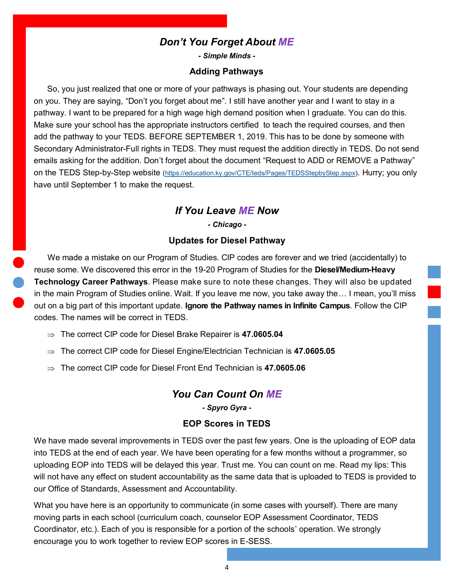#### *Don't You Forget About ME*

*- Simple Minds -*

#### **Adding Pathways**

<span id="page-3-0"></span>So, you just realized that one or more of your pathways is phasing out. Your students are depending on you. They are saying, "Don't you forget about me". I still have another year and I want to stay in a pathway. I want to be prepared for a high wage high demand position when I graduate. You can do this. Make sure your school has the appropriate instructors certified to teach the required courses, and then add the pathway to your TEDS. BEFORE SEPTEMBER 1, 2019. This has to be done by someone with Secondary Administrator-Full rights in TEDS. They must request the addition directly in TEDS. Do not send emails asking for the addition. Don't forget about the document "Request to ADD or REMOVE a Pathway" on the TEDS Step-by-Step website ([https://education.ky.gov/CTE/teds/Pages/TEDSStepbyStep.aspx\)](https://education.ky.gov/CTE/teds/Pages/TEDSStepbyStep.aspx). Hurry; you only have until September 1 to make the request.

#### *If You Leave ME Now*

*- Chicago -*

#### **Updates for Diesel Pathway**

We made a mistake on our Program of Studies. CIP codes are forever and we tried (accidentally) to reuse some. We discovered this error in the 19-20 Program of Studies for the **Diesel/Medium-Heavy Technology Career Pathways**. Please make sure to note these changes. They will also be updated in the main Program of Studies online. Wait. If you leave me now, you take away the… I mean, you'll miss out on a big part of this important update. **Ignore the Pathway names in Infinite Campus**. Follow the CIP codes. The names will be correct in TEDS.

- The correct CIP code for Diesel Brake Repairer is **47.0605.04**
- The correct CIP code for Diesel Engine/Electrician Technician is **47.0605.05**
- $\Rightarrow$  The correct CIP code for Diesel Front End Technician is **47.0605.06**

#### *You Can Count On ME*

*- Spyro Gyra -*

#### **EOP Scores in TEDS**

We have made several improvements in TEDS over the past few years. One is the uploading of EOP data into TEDS at the end of each year. We have been operating for a few months without a programmer, so uploading EOP into TEDS will be delayed this year. Trust me. You can count on me. Read my lips: This will not have any effect on student accountability as the same data that is uploaded to TEDS is provided to our Office of Standards, Assessment and Accountability.

What you have here is an opportunity to communicate (in some cases with yourself). There are many moving parts in each school (curriculum coach, counselor EOP Assessment Coordinator, TEDS Coordinator, etc.). Each of you is responsible for a portion of the schools' operation. We strongly encourage you to work together to review EOP scores in E-SESS.

4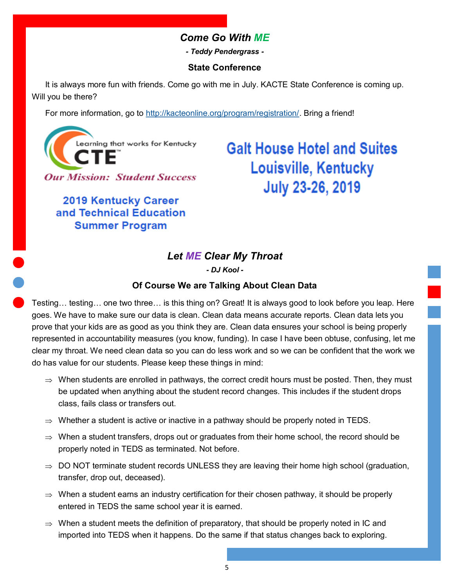#### *Come Go With ME*

*- Teddy Pendergrass -*

#### **State Conference**

<span id="page-4-0"></span>It is always more fun with friends. Come go with me in July. KACTE State Conference is coming up. Will you be there?

For more information, go to [http://kacteonline.org/program/registration/.](http://kacteonline.org/program/registration/) Bring a friend!

Learning that works for Kentucky **Our Mission: Student Success** 

## **2019 Kentucky Career** and Technical Education **Summer Program**

# **Galt House Hotel and Suites** Louisville, Kentucky July 23-26, 2019

# *Let ME Clear My Throat*

*- DJ Kool -*

#### **Of Course We are Talking About Clean Data**

Testing… testing… one two three… is this thing on? Great! It is always good to look before you leap. Here goes. We have to make sure our data is clean. Clean data means accurate reports. Clean data lets you prove that your kids are as good as you think they are. Clean data ensures your school is being properly represented in accountability measures (you know, funding). In case I have been obtuse, confusing, let me clear my throat. We need clean data so you can do less work and so we can be confident that the work we do has value for our students. Please keep these things in mind:

- $\Rightarrow$  When students are enrolled in pathways, the correct credit hours must be posted. Then, they must be updated when anything about the student record changes. This includes if the student drops class, fails class or transfers out.
- $\Rightarrow$  Whether a student is active or inactive in a pathway should be properly noted in TEDS.
- $\Rightarrow$  When a student transfers, drops out or graduates from their home school, the record should be properly noted in TEDS as terminated. Not before.
- $\Rightarrow$  DO NOT terminate student records UNLESS they are leaving their home high school (graduation, transfer, drop out, deceased).
- $\Rightarrow$  When a student earns an industry certification for their chosen pathway, it should be properly entered in TEDS the same school year it is earned.
- $\Rightarrow$  When a student meets the definition of preparatory, that should be properly noted in IC and imported into TEDS when it happens. Do the same if that status changes back to exploring.